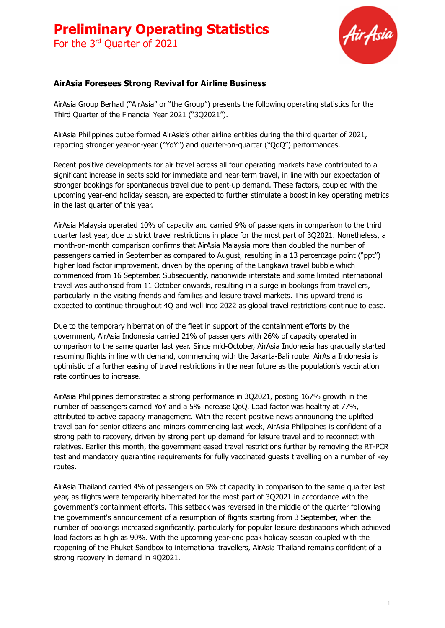For the 3<sup>rd</sup> Quarter of 2021



#### **AirAsia Foresees Strong Revival for Airline Business**

AirAsia Group Berhad ("AirAsia" or "the Group") presents the following operating statistics for the Third Quarter of the Financial Year 2021 ("3Q2021").

AirAsia Philippines outperformed AirAsia's other airline entities during the third quarter of 2021, reporting stronger year-on-year ("YoY") and quarter-on-quarter ("QoQ") performances.

Recent positive developments for air travel across all four operating markets have contributed to a significant increase in seats sold for immediate and near-term travel, in line with our expectation of stronger bookings for spontaneous travel due to pent-up demand. These factors, coupled with the upcoming year-end holiday season, are expected to further stimulate a boost in key operating metrics in the last quarter of this year.

AirAsia Malaysia operated 10% of capacity and carried 9% of passengers in comparison to the third quarter last year, due to strict travel restrictions in place for the most part of 3Q2021. Nonetheless, a month-on-month comparison confirms that AirAsia Malaysia more than doubled the number of passengers carried in September as compared to August, resulting in a 13 percentage point ("ppt") higher load factor improvement, driven by the opening of the Langkawi travel bubble which commenced from 16 September. Subsequently, nationwide interstate and some limited international travel was authorised from 11 October onwards, resulting in a surge in bookings from travellers, particularly in the visiting friends and families and leisure travel markets. This upward trend is expected to continue throughout 4Q and well into 2022 as global travel restrictions continue to ease.

Due to the temporary hibernation of the fleet in support of the containment efforts by the government, AirAsia Indonesia carried 21% of passengers with 26% of capacity operated in comparison to the same quarter last year. Since mid-October, AirAsia Indonesia has gradually started resuming flights in line with demand, commencing with the Jakarta-Bali route. AirAsia Indonesia is optimistic of a further easing of travel restrictions in the near future as the population's vaccination rate continues to increase.

AirAsia Philippines demonstrated a strong performance in 3Q2021, posting 167% growth in the number of passengers carried YoY and a 5% increase QoQ. Load factor was healthy at 77%, attributed to active capacity management. With the recent positive news announcing the uplifted travel ban for senior citizens and minors commencing last week, AirAsia Philippines is confident of a strong path to recovery, driven by strong pent up demand for leisure travel and to reconnect with relatives. Earlier this month, the government eased travel restrictions further by removing the RT-PCR test and mandatory quarantine requirements for fully vaccinated guests travelling on a number of key routes.

AirAsia Thailand carried 4% of passengers on 5% of capacity in comparison to the same quarter last year, as flights were temporarily hibernated for the most part of 3Q2021 in accordance with the government's containment efforts. This setback was reversed in the middle of the quarter following the government's announcement of a resumption of flights starting from 3 September, when the number of bookings increased significantly, particularly for popular leisure destinations which achieved load factors as high as 90%. With the upcoming year-end peak holiday season coupled with the reopening of the Phuket Sandbox to international travellers, AirAsia Thailand remains confident of a strong recovery in demand in 4Q2021.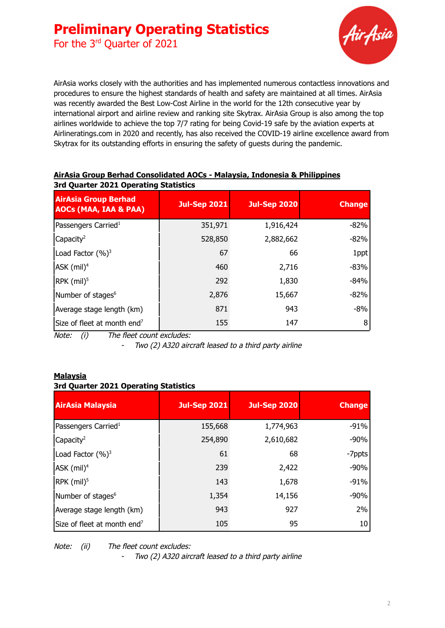For the 3<sup>rd</sup> Quarter of 2021



AirAsia works closely with the authorities and has implemented numerous contactless innovations and procedures to ensure the highest standards of health and safety are maintained at all times. AirAsia was recently awarded the Best Low-Cost Airline in the world for the 12th consecutive year by international airport and airline review and ranking site Skytrax. AirAsia Group is also among the top airlines worldwide to achieve the top 7/7 rating for being Covid-19 safe by the aviation experts at Airlineratings.com in 2020 and recently, has also received the COVID-19 airline excellence award from Skytrax for its outstanding efforts in ensuring the safety of guests during the pandemic.

| sia yaarte zozz operatnig statistics                            |                     |                     |               |
|-----------------------------------------------------------------|---------------------|---------------------|---------------|
| <b>AirAsia Group Berhad</b><br><b>AOCs (MAA, IAA &amp; PAA)</b> | <b>Jul-Sep 2021</b> | <b>Jul-Sep 2020</b> | <b>Change</b> |
| Passengers Carried <sup>1</sup>                                 | 351,971             | 1,916,424           | $-82%$        |
| Capacity <sup>2</sup>                                           | 528,850             | 2,882,662           | $-82%$        |
| Load Factor (%) <sup>3</sup>                                    | 67                  | 66                  | 1ppt          |
| $ASK$ (mil) <sup>4</sup>                                        | 460                 | 2,716               | $-83%$        |
| RPK (mil) <sup>5</sup>                                          | 292                 | 1,830               | $-84%$        |
| Number of stages <sup>6</sup>                                   | 2,876               | 15,667              | $-82%$        |
| Average stage length (km)                                       | 871                 | 943                 | $-8%$         |
| Size of fleet at month end <sup>7</sup>                         | 155                 | 147                 | 8             |

#### **AirAsia Group Berhad Consolidated AOCs - Malaysia, Indonesia & Philippines 3rd Quarter 2021 Operating Statistics**

Note: (i) The fleet count excludes:

-Two (2) A320 aircraft leased to <sup>a</sup> third party airline

#### **Malaysia 3rd Quarter 2021 Operating Statistics**

| <b>AirAsia Malaysia</b>                 | <b>Jul-Sep 2021</b> | <b>Jul-Sep 2020</b> | <b>Change</b> |
|-----------------------------------------|---------------------|---------------------|---------------|
| Passengers Carried <sup>1</sup>         | 155,668             | 1,774,963           | $-91%$        |
| Capacity <sup>2</sup>                   | 254,890             | 2,610,682           | $-90%$        |
| Load Factor $(%)^3$                     | 61                  | 68                  | -7ppts        |
| $ASK$ (mil) <sup>4</sup>                | 239                 | 2,422               | $-90%$        |
| RPK (mil) <sup>5</sup>                  | 143                 | 1,678               | $-91%$        |
| Number of stages <sup>6</sup>           | 1,354               | 14,156              | $-90%$        |
| Average stage length (km)               | 943                 | 927                 | 2%            |
| Size of fleet at month end <sup>7</sup> | 105                 | 95                  | 10            |

Note: (ii) The fleet count excludes: -

Two (2) A320 aircraft leased to <sup>a</sup> third party airline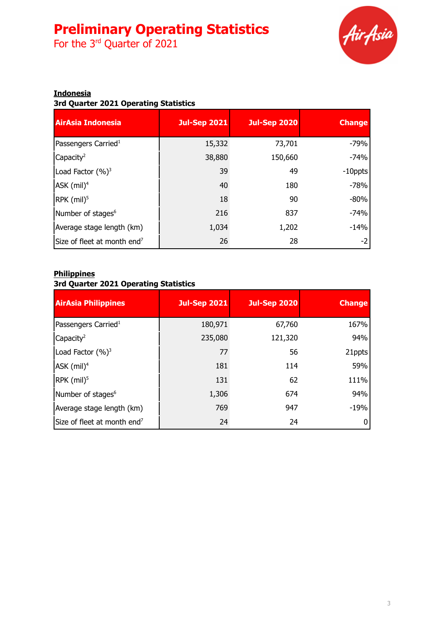For the 3<sup>rd</sup> Quarter of 2021



### **Indonesia**

#### **3rd Quarter 2021 Operating Statistics**

| <b>AirAsia Indonesia</b>                | Jul-Sep 2021 | <b>Jul-Sep 2020</b> | <b>Change</b> |
|-----------------------------------------|--------------|---------------------|---------------|
| Passengers Carried <sup>1</sup>         | 15,332       | 73,701              | $-79%$        |
| Capacity <sup>2</sup>                   | 38,880       | 150,660             | $-74%$        |
| Load Factor $(\%)^3$                    | 39           | 49                  | $-10$ ppts    |
| ASK (mil) <sup>4</sup>                  | 40           | 180                 | $-78%$        |
| $RPK$ (mil) <sup>5</sup>                | 18           | 90                  | $-80%$        |
| Number of stages <sup>6</sup>           | 216          | 837                 | $-74%$        |
| Average stage length (km)               | 1,034        | 1,202               | $-14%$        |
| Size of fleet at month end <sup>7</sup> | 26           | 28                  | $-2$          |

#### **Philippines**

### **3rd Quarter 2021 Operating Statistics**

| <b>AirAsia Philippines</b>              | <b>Jul-Sep 2021</b> | <b>Jul-Sep 2020</b> | <b>Change</b> |
|-----------------------------------------|---------------------|---------------------|---------------|
| Passengers Carried <sup>1</sup>         | 180,971             | 67,760              | 167%          |
| Capacity <sup>2</sup>                   | 235,080             | 121,320             | 94%           |
| Load Factor $(\%)^3$                    | 77                  | 56                  | 21ppts        |
| ASK (mil) <sup>4</sup>                  | 181                 | 114                 | 59%           |
| $RPK$ (mil) <sup>5</sup>                | 131                 | 62                  | 111%          |
| Number of stages <sup>6</sup>           | 1,306               | 674                 | 94%           |
| Average stage length (km)               | 769                 | 947                 | $-19%$        |
| Size of fleet at month end <sup>7</sup> | 24                  | 24                  |               |